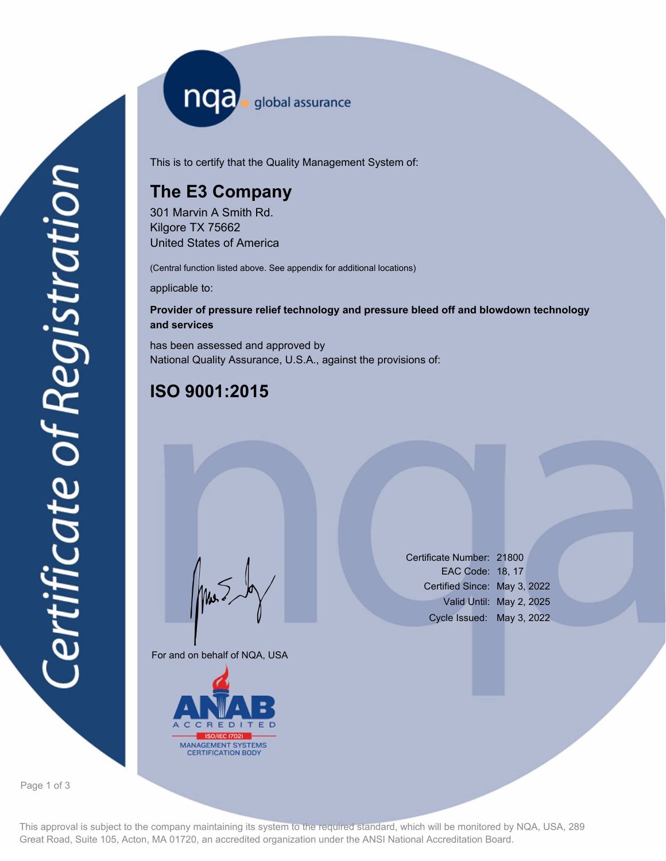nqa <sub>global</sub> assurance

This is to certify that the Quality Management System of:

# **The E3 Company**

301 Marvin A Smith Rd. Kilgore TX 75662 United States of America

(Central function listed above. See appendix for additional locations)

applicable to:

### **Provider of pressure relief technology and pressure bleed off and blowdown technology and services**

has been assessed and approved by National Quality Assurance, U.S.A., against the provisions of:

## **ISO 9001:2015**

For and on behalf of NQA, USA

Mus



Certificate Number: 21800 EAC Code: 18, 17 Certified Since: May 3, 2022 Valid Until: May 2, 2025 Cycle Issued: May 3, 2022

Page 1 of 3

This approval is subject to the company maintaining its system to the required standard, which will be monitored by NQA, USA, 289 Great Road, Suite 105, Acton, MA 01720, an accredited organization under the ANSI National Accreditation Board.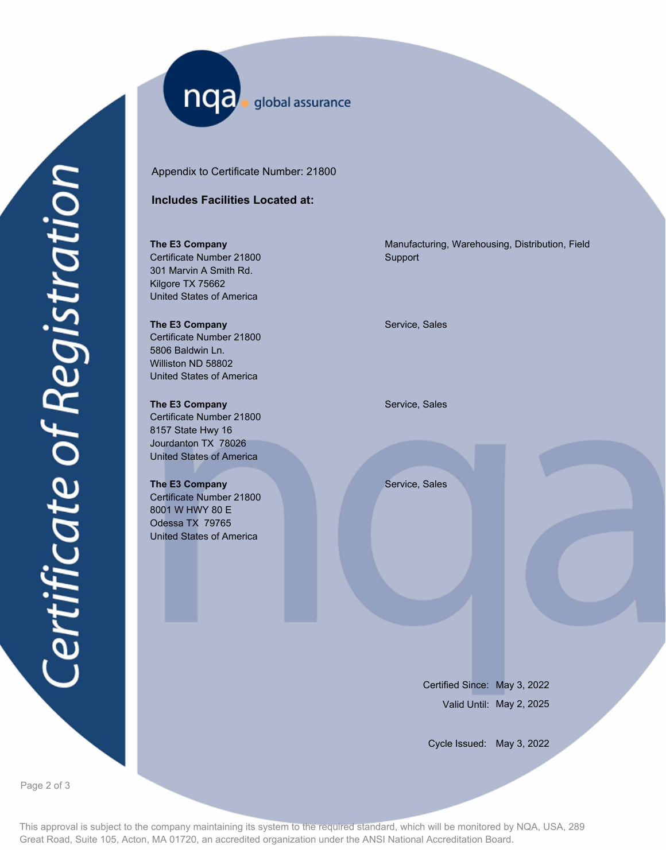nqa. global assurance

Appendix to Certificate Number: 21800

### **Includes Facilities Located at:**

**The E3 Company** Certificate Number 21800 301 Marvin A Smith Rd. Kilgore TX 75662 United States of America

**The E3 Company Service, Sales** Service, Sales Certificate Number 21800 5806 Baldwin Ln. Williston ND 58802 United States of America

**The E3 Company** Service, Sales Certificate Number 21800 8157 State Hwy 16 Jourdanton TX 78026 United States of America

**The E3 Company** Service, Sales Certificate Number 21800 8001 W HWY 80 E Odessa TX 79765 United States of America

Manufacturing, Warehousing, Distribution, Field Support

Certified Since: May 3, 2022 Valid Until: May 2, 2025

Cycle Issued: May 3, 2022

Page 2 of 3

This approval is subject to the company maintaining its system to the required standard, which will be monitored by NQA, USA, 289 Great Road, Suite 105, Acton, MA 01720, an accredited organization under the ANSI National Accreditation Board.